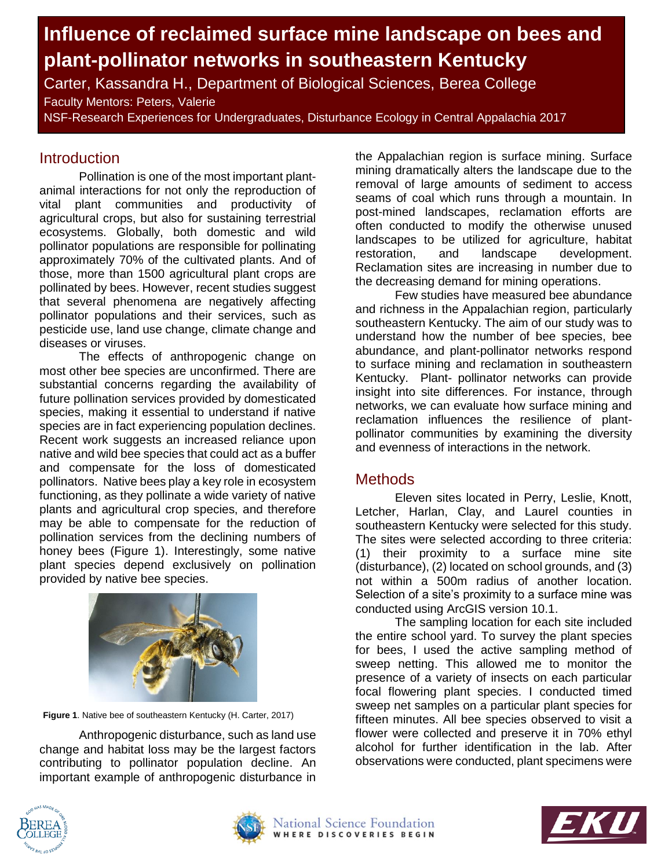# **Influence of reclaimed surface mine landscape on bees and plant-pollinator networks in southeastern Kentucky**

Carter, Kassandra H., Department of Biological Sciences, Berea College Faculty Mentors: Peters, Valerie

NSF-Research Experiences for Undergraduates, Disturbance Ecology in Central Appalachia 2017

## **Introduction**

Pollination is one of the most important plantanimal interactions for not only the reproduction of vital plant communities and productivity of agricultural crops, but also for sustaining terrestrial ecosystems. Globally, both domestic and wild pollinator populations are responsible for pollinating approximately 70% of the cultivated plants. And of those, more than 1500 agricultural plant crops are pollinated by bees. However, recent studies suggest that several phenomena are negatively affecting pollinator populations and their services, such as pesticide use, land use change, climate change and diseases or viruses.

The effects of anthropogenic change on most other bee species are unconfirmed. There are substantial concerns regarding the availability of future pollination services provided by domesticated species, making it essential to understand if native species are in fact experiencing population declines. Recent work suggests an increased reliance upon native and wild bee species that could act as a buffer and compensate for the loss of domesticated pollinators. Native bees play a key role in ecosystem functioning, as they pollinate a wide variety of native plants and agricultural crop species, and therefore may be able to compensate for the reduction of pollination services from the declining numbers of honey bees (Figure 1). Interestingly, some native plant species depend exclusively on pollination provided by native bee species.



**Figure 1**. Native bee of southeastern Kentucky (H. Carter, 2017)

Anthropogenic disturbance, such as land use change and habitat loss may be the largest factors contributing to pollinator population decline. An important example of anthropogenic disturbance in

the Appalachian region is surface mining. Surface mining dramatically alters the landscape due to the removal of large amounts of sediment to access seams of coal which runs through a mountain. In post-mined landscapes, reclamation efforts are often conducted to modify the otherwise unused landscapes to be utilized for agriculture, habitat restoration, and landscape development. Reclamation sites are increasing in number due to the decreasing demand for mining operations.

Few studies have measured bee abundance and richness in the Appalachian region, particularly southeastern Kentucky. The aim of our study was to understand how the number of bee species, bee abundance, and plant-pollinator networks respond to surface mining and reclamation in southeastern Kentucky. Plant- pollinator networks can provide insight into site differences. For instance, through networks, we can evaluate how surface mining and reclamation influences the resilience of plantpollinator communities by examining the diversity and evenness of interactions in the network.

#### **Methods**

Eleven sites located in Perry, Leslie, Knott, Letcher, Harlan, Clay, and Laurel counties in southeastern Kentucky were selected for this study. The sites were selected according to three criteria: (1) their proximity to a surface mine site (disturbance), (2) located on school grounds, and (3) not within a 500m radius of another location. Selection of a site's proximity to a surface mine was conducted using ArcGIS version 10.1.

The sampling location for each site included the entire school yard. To survey the plant species for bees, I used the active sampling method of sweep netting. This allowed me to monitor the presence of a variety of insects on each particular focal flowering plant species. I conducted timed sweep net samples on a particular plant species for fifteen minutes. All bee species observed to visit a flower were collected and preserve it in 70% ethyl alcohol for further identification in the lab. After observations were conducted, plant specimens were